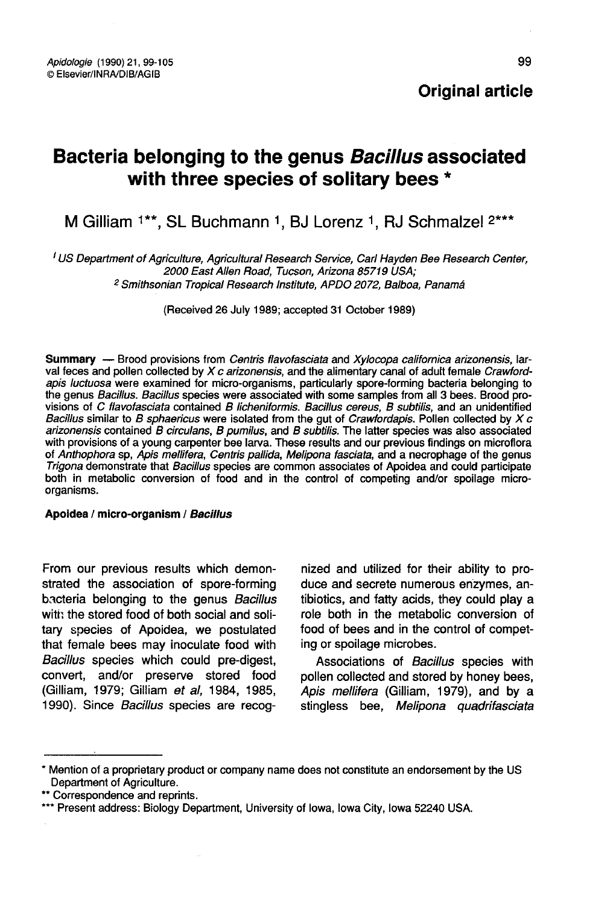# Bacteria belonging to the genus Bacillus associated with three species of solitary bees \*

M Gilliam <sup>1\*\*</sup>, SL Buchmann <sup>1</sup>, BJ Lorenz <sup>1</sup>. RJ Schmalzel <sup>2\*\*\*</sup>

<sup>I</sup> US Department of Agriculture, Agricultural Research Service, Carl Hayden Bee Research Center, 2000 East Allen Road, Tucson, Arizona 85719 USA; <sup>2</sup> Smithsonian Tropical Research Institute, APDO 2072, Balboa, Panamá

(Received 26 July 1989; accepted 31 October 1989)

Summary — Brood provisions from Centris flavofasciata and Xylocopa californica arizonensis, larval feces and pollen collected by  $Xc$  arizonensis, and the alimentary canal of adult female Crawfordapis luctuosa were examined for micro-organisms, particularly spore-forming bacteria belonging to the genus Bacillus. Bacillus species were associated with some samples from all 3 bees. Brood provisions of C flavofasciata contained B licheniformis. Bacillus cereus, B subtilis, and an unidentified Bacillus similar to B sphaericus were isolated from the gut of Crawfordapis. Pollen collected by  $X$  c arizonensis contained B circulans, B pumilus, and B subtilis. The latter species was also associated with provisions of a young carpenter bee larva. These results and our previous findings on microflora of Anthophora sp, Apis mellifera, Centris pallida, Melipona fasciata, and a necrophage of the genus Trigona demonstrate that Bacillus species are common associates of Apoidea and could participate both in metabolic conversion of food and in the control of competing and/or spoilage microorganisms.

#### Apoidea / micro-organism / Bacillus

From our previous results which demonstrated the association of spore-forming bacteria belonging to the genus Bacillus with the stored food of both social and solitary species of Apoidea, we postulated that female bees may inoculate food with Bacillus species which could pre-digest, convert, and/or preserve stored food (Gilliam, 1979; Gilliam et al, 1984, 1985, 1990). Since Bacillus species are recog-

nized and utilized for their ability to produce and secrete numerous enzymes, antibiotics, and fatty acids, they could play a role both in the metabolic conversion of food of bees and in the control of competing or spoilage microbes.

Associations of Bacillus species with pollen collected and stored by honey bees, Apis mellifera (Gilliam, 1979), and by a stingless bee, Melipona quadrifasciata

<sup>\*</sup> Mention of a proprietary product or company name does not constitute an endorsement by the US

<sup>\*\*</sup> Correspondence and reprints.<br>\*\*\* Present address: Biology Department, University of Iowa, Iowa City, Iowa 52240 USA.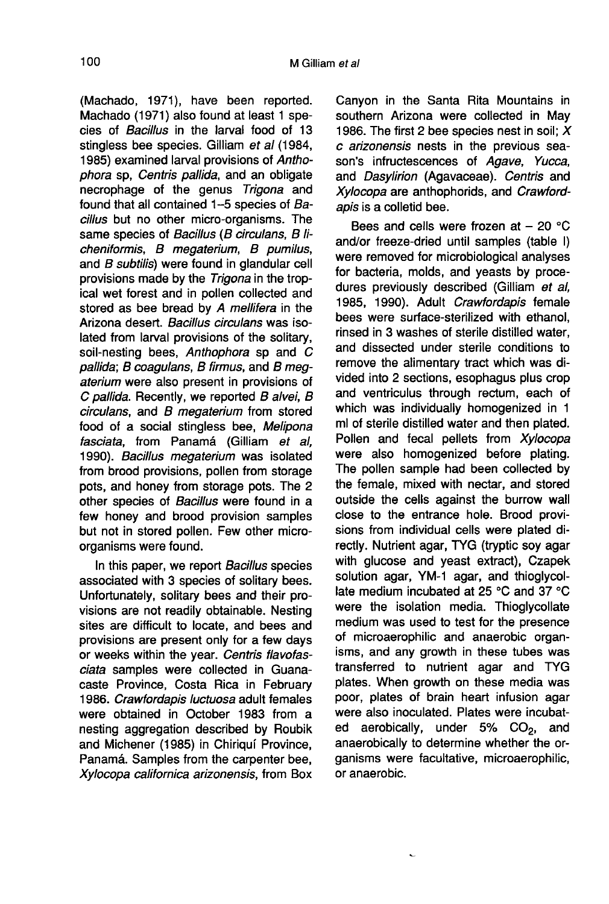(Machado, 1971), have been reported. Machado (1971) also found at least 1 species of Bacillus in the larval food of 13 stingless bee species. Gilliam et al (1984, 1985) examined larval provisions of Anthophora sp, Centris pallida, and an obligate necrophage of the genus Trigona and found that all contained 1-5 species of Bacillus but no other micro-organisms. The same species of Bacillus (B circulans, B licheniformis, B megaterium, B pumilus, and B subtilis) were found in glandular cell provisions made by the Trigona in the tropical wet forest and in pollen collected and stored as bee bread by A mellifera in the Arizona desert. Bacillus circulans was isolated from larval provisions of the solitary, soil-nesting bees. Anthophora sp and C pallida; B coagulans, B firmus, and B megaterium were also present in provisions of C pallida. Recently, we reported B alvei, B circulans, and B megaterium from stored food of a social stingless bee, Melipona fasciata, from Panamá (Gilliam et al, 1990). Bacillus megaterium was isolated from brood provisions, pollen from storage pots, and honey from storage pots. The 2 other species of Bacillus were found in a few honey and brood provision samples but not in stored pollen. Few other microorganisms were found.

In this paper, we report Bacillus species associated with 3 species of solitary bees. Unfortunately, solitary bees and their provisions are not readily obtainable. Nesting sites are difficult to locate, and bees and provisions are present only for a few days or weeks within the year. Centris flavofasciata samples were collected in Guanacaste Province, Costa Rica in February 1986. Crawfordapis luctuosa adult females were obtained in October 1983 from a nesting aggregation described by Roubik and Michener (1985) in Chiriquí Province, Panamá. Samples from the carpenter bee, Xylocopa californica arizonensis, from Box Canyon in the Santa Rita Mountains in southern Arizona were collected in May 1986. The first 2 bee species nest in soil;  $X$ c arizonensis nests in the previous season's infructescences of Agave, Yucca, and Dasylirion (Agavaceae). Centris and Xylocopa are anthophorids, and Crawfordapis is a colletid bee.

Bees and cells were frozen at  $-20$  °C and/or freeze-dried until samples (table I) were removed for microbiological analyses for bacteria, molds, and yeasts by procedures previously described (Gilliam et al, 1985, 1990). Adult Crawfordapis female bees were surface-sterilized with ethanol, rinsed in 3 washes of sterile distilled water, and dissected under sterile conditions to remove the alimentary tract which was divided into 2 sections, esophagus plus crop and ventriculus through rectum, each of which was individually homogenized in 1 ml of sterile distilled water and then plated. Pollen and fecal pellets from Xylocopa were also homogenized before plating. The pollen sample had been collected by the female, mixed with nectar, and stored outside the cells against the burrow wall close to the entrance hole. Brood provisions from individual cells were plated directly. Nutrient agar, TYG (tryptic soy agar with glucose and yeast extract), Czapek solution agar, YM-1 agar, and thioglycollate medium incubated at 25 °C and 37 °C were the isolation media. Thioglycollate medium was used to test for the presence of microaerophilic and anaerobic organisms, and any growth in these tubes was transferred to nutrient agar and TYG plates. When growth on these media was poor, plates of brain heart infusion agar were also inoculated. Plates were incubated aerobically, under  $5\%$  CO<sub>2</sub>, and<br>apparable the determine whether the original anaerobically to determine whether the organisms were facultative, microaerophilic, or anaerobic.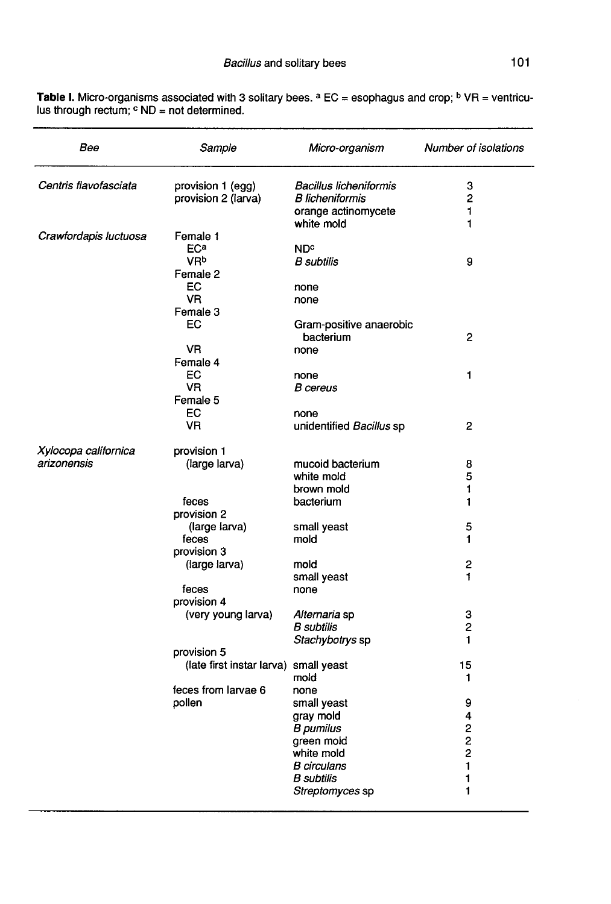| Bee                   | Sample                                | Micro-organism                | Number of isolations    |
|-----------------------|---------------------------------------|-------------------------------|-------------------------|
| Centris flavofasciata | provision 1 (egg)                     | <b>Bacillus licheniformis</b> | з                       |
|                       | provision 2 (larva)                   | <b>B</b> licheniformis        | 2                       |
|                       |                                       | orange actinomycete           | 1                       |
|                       |                                       | white mold                    | 1                       |
| Crawfordapis luctuosa | Female 1                              |                               |                         |
|                       | ECa<br><b>VR</b> <sup>b</sup>         | <b>ND<sup>c</sup></b>         |                         |
|                       | Female 2                              | <b>B</b> subtilis             | 9                       |
|                       | ЕC                                    |                               |                         |
|                       | VR.                                   | none<br>none                  |                         |
|                       | Female 3                              |                               |                         |
|                       | EC                                    | Gram-positive anaerobic       |                         |
|                       |                                       | bacterium                     | $\mathbf{2}$            |
|                       | VR.                                   | none                          |                         |
|                       | Female 4                              |                               |                         |
|                       | EC                                    | none                          | 1                       |
|                       | VR.                                   | <b>B</b> cereus               |                         |
|                       | Female 5                              |                               |                         |
|                       | EC                                    | none                          |                         |
|                       | VR                                    | unidentified Bacillus sp      | 2                       |
| Xylocopa californica  | provision 1                           |                               |                         |
| arizonensis           | (large larva)                         | mucoid bacterium              | 8                       |
|                       |                                       | white mold                    | 5                       |
|                       |                                       | brown mold                    | 1                       |
|                       | feces                                 | bacterium                     | 1                       |
|                       | provision 2                           |                               |                         |
|                       | (large larva)                         | small yeast                   | 5                       |
|                       | feces                                 | mold                          | 1                       |
|                       | provision 3                           |                               |                         |
|                       | (large larva)                         | mold                          | 2                       |
|                       |                                       | small yeast                   | $\ddagger$              |
|                       | feces                                 | none                          |                         |
|                       | provision 4<br>(very young larva)     | <i>Alternaria</i> sp          | 3                       |
|                       |                                       | B subtilis                    | 2                       |
|                       |                                       | Stachybotrys sp               | 1                       |
|                       | provision 5                           |                               |                         |
|                       | (late first instar larva) small yeast |                               | 15                      |
|                       |                                       | mold                          | 1                       |
|                       | feces from larvae 6                   | none                          |                         |
|                       | pollen                                | small yeast                   | 9                       |
|                       |                                       | gray mold                     | 4                       |
|                       |                                       | B pumilus                     | $\overline{\mathbf{c}}$ |
|                       |                                       | green mold                    | 2                       |
|                       |                                       | white mold                    | $\overline{c}$          |
|                       |                                       | <b>B</b> circulans            | 1                       |
|                       |                                       | B subtilis                    | 1                       |
|                       |                                       | Streptomyces sp               | 1                       |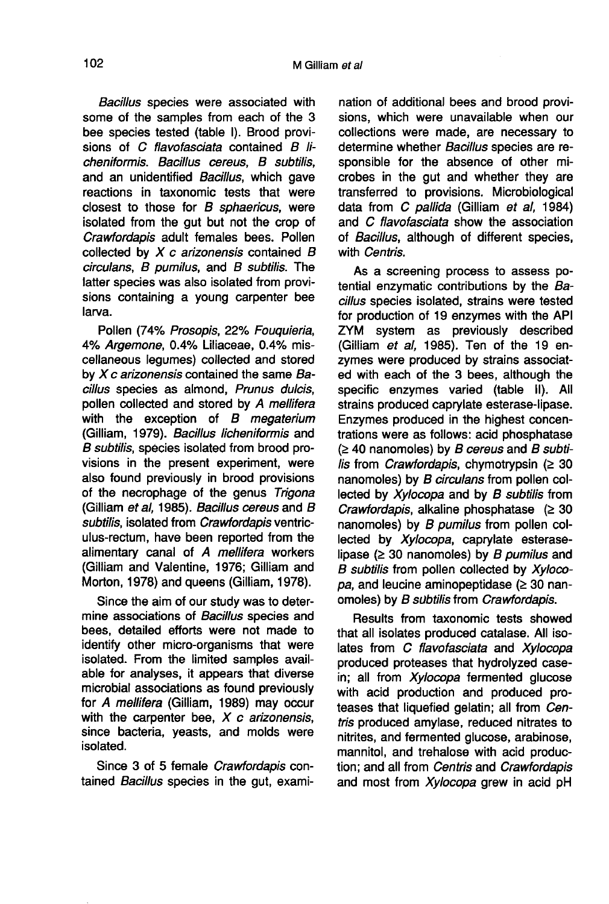Bacillus species were associated with some of the samples from each of the 3 bee species tested (table I). Brood provisions of C flavofasciata contained B licheniformis. Bacillus cereus, B subtilis, and an unidentified Bacillus, which gave reactions in taxonomic tests that were closest to those for  $B$  sphaericus, were isolated from the gut but not the crop of Crawfordapis adult females bees. Pollen collected by  $X$  c arizonensis contained  $B$ circulans, B pumilus, and B subtilis. The latter species was also isolated from provisions containing a young carpenter bee larva.

Pollen (74% Prosopis, 22% Fouquieria, 4% Argemone, 0.4% Liliaceae, 0.4% miscellaneous legumes) collected and stored by  $Xc$  arizonensis contained the same Bacillus species as almond, Prunus dulcis, pollen collected and stored by A mellifera with the exception of  $B$  megaterium (Gilliam, 1979). Bacillus licheniformis and B subtilis, species isolated from brood provisions in the present experiment, were also found previously in brood provisions of the necrophage of the genus Trigona (Gilliam et al, 1985). Bacillus cereus and B subtilis, isolated from Crawfordapis ventriculus-rectum, have been reported from the alimentary canal of A mellifera workers (Gilliam and Valentine, 1976; Gilliam and Morton, 1978) and queens (Gilliam, 1978).

Since the aim of our study was to determine associations of Bacillus species and bees, detailed efforts were not made to identify other micro-organisms that were isolated. From the limited samples available for analyses, it appears that diverse microbial associations as found previously for A mellifera (Gilliam, 1989) may occur with the carpenter bee,  $X$  c arizonensis, since bacteria, yeasts, and molds were isolated.

Since 3 of 5 female Crawfordapis contained Bacillus species in the gut, exami-

nation of additional bees and brood provisions, which were unavailable when our collections were made, are necessary to determine whether Bacillus species are responsible for the absence of other microbes in the gut and whether they are transferred to provisions. Microbiological data from C pallida (Gilliam et al, 1984) and C flavofasciata show the association of Bacillus, although of different species, with Centris.

As a screening process to assess potential enzymatic contributions by the Bacillus species isolated, strains were tested for production of 19 enzymes with the API ZYM system as previously described (Gilliam et al, 1985). Ten of the 19 enzymes were produced by strains associated with each of the 3 bees, although the specific enzymes varied (table II). All strains produced caprylate esterase-lipase. Enzymes produced in the highest concentrations were as follows: acid phosphatase  $(≥ 40$  nanomoles) by B cereus and B subtilis from *Crawfordapis*, chymotrypsin ( $\geq 30$ nanomoles) by B circulans from pollen collected by Xylocopa and by B subtilis from Crawfordapis, alkaline phosphatase  $(≥ 30$ nanomoles) by B pumilus from pollen collected by Xylocopa, caprylate esteraselipase ( $\geq$  30 nanomoles) by B pumilus and B subtilis from pollen collected by Xylocopa, and leucine aminopeptidase ( $\geq$  30 nanomoles) by B subtilis from Crawfordapis.

Results from taxonomic tests showed that all isolates produced catalase. All isolates from C flavofasciata and Xylocopa produced proteases that hydrolyzed casein; all from Xylocopa fermented glucose with acid production and produced proteases that liquefied gelatin; all from Centris produced amylase, reduced nitrates to nitrites, and fermented glucose, arabinose, mannitol, and trehalose with acid production; and all from Centris and Crawfordapis and most from Xylocopa grew in acid pH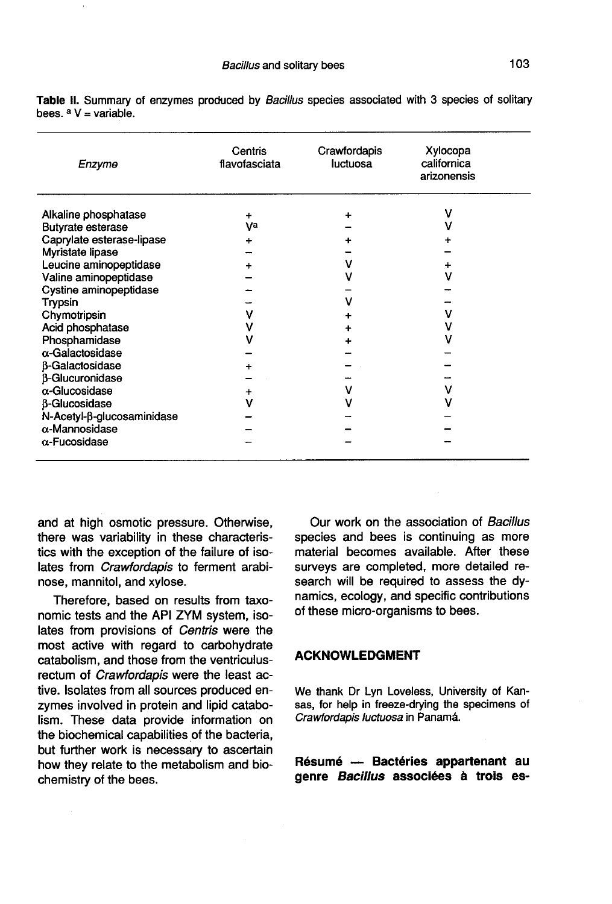| Enzyme                     | Centris<br>flavofasciata | Crawfordapis<br>luctuosa | Xylocopa<br>californica<br>arizonensis |
|----------------------------|--------------------------|--------------------------|----------------------------------------|
| Alkaline phosphatase       | ÷                        | ÷                        | v                                      |
| <b>Butyrate esterase</b>   | Va                       |                          |                                        |
| Caprylate esterase-lipase  | +                        |                          |                                        |
| Myristate lipase           |                          |                          |                                        |
| Leucine aminopeptidase     |                          |                          |                                        |
| Valine aminopeptidase      |                          |                          | ٧                                      |
| Cystine aminopeptidase     |                          |                          |                                        |
| Trypsin                    |                          | v                        |                                        |
| Chymotripsin               |                          |                          | v                                      |
| Acid phosphatase           |                          |                          | v                                      |
| Phosphamidase              |                          |                          |                                        |
| $\alpha$ -Galactosidase    |                          |                          |                                        |
| <b>B-Galactosidase</b>     |                          |                          |                                        |
| <b>B-Glucuronidase</b>     |                          |                          |                                        |
| α-Glucosidase              | ٠                        |                          | v                                      |
| <b>B-Glucosidase</b>       |                          |                          |                                        |
| N-Acetyl-β-glucosaminidase |                          |                          |                                        |
| $\alpha$ -Mannosidase      |                          |                          |                                        |
| $\alpha$ -Fucosidase       |                          |                          |                                        |

Table II. Summary of enzymes produced by Bacillus species associated with 3 species of solitary hees  $aV = \text{variable}$ 

and at high osmotic pressure. Otherwise, there was variability in these characteristics with the exception of the failure of isolates from *Crawfordapis* to ferment arabinose, mannitol, and xylose.

Therefore, based on results from taxonomic tests and the API ZYM system, isolates from provisions of Centris were the most active with regard to carbohydrate catabolism, and those from the ventriculusrectum of Crawfordapis were the least active. Isolates from all sources produced enzymes involved in protein and lipid catabolism. These data provide information on the biochemical capabilities of the bacteria, but further work is necessary to ascertain how they relate to the metabolism and biochemistry of the bees.

Our work on the association of Bacillus species and bees is continuing as more material becomes available. After these surveys are completed, more detailed research will be required to assess the dynamics, ecology, and specific contributions of these micro-organisms to bees.

### ACKNOWLEDGMENT

We thank Dr Lyn Loveless, University of Kansas, for help in freeze-drying the specimens of Crawfordapis luctuosa in Panamá.

Résumé — Bactéries appartenant au genre Bacillus associées à trois es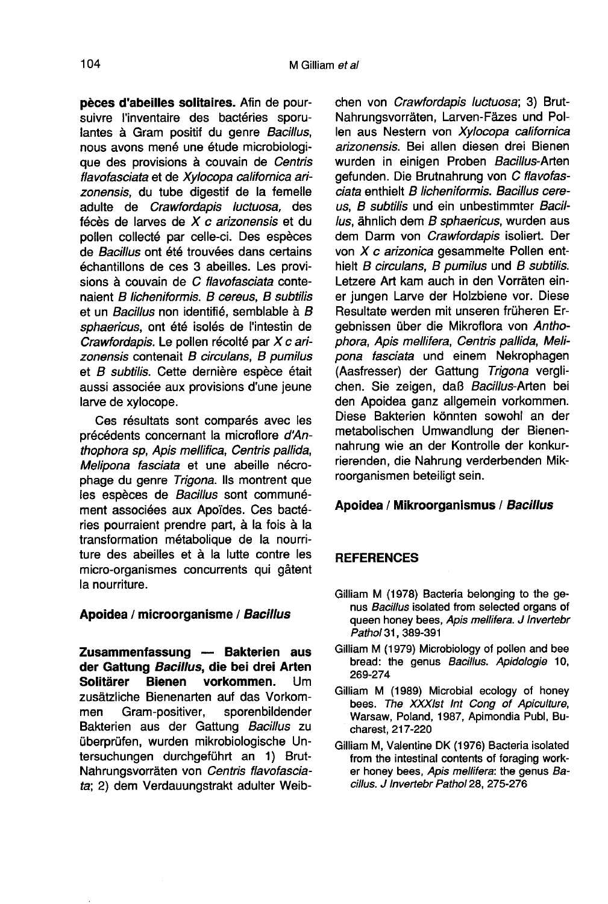pèces d'abeilles solitaires. Afin de poursuivre l'inventaire des bactéries sporulantes à Gram positif du genre Bacillus, nous avons mené une étude microbiologique des provisions à couvain de Centris flavofasciata et de Xylocopa californica arizonensis, du tube digestif de la femelle adulte de Crawfordapis luctuosa, des fécès de larves de X c arizonensis et du pollen collecté par celle-ci. Des espèces de Bacillus ont été trouvées dans certains échantillons de ces 3 abeilles. Les provisions à couvain de C flavofasciata contenaient B licheniformis. B cereus, B subtilis et un Bacillus non identifié, semblable à B sphaericus, ont été isolés de l'intestin de Crawfordapis. Le pollen récolté par X c arizonensis contenait B circulans, B pumilus et B subtilis. Cette dernière espèce était aussi associée aux provisions d'une jeune larve de xylocope.

Ces résultats sont comparés avec les précédents concernant la microflore d'Anthophora sp, Apis mellifica, Centris pallida, Melipona fasciata et une abeille nécrophage du genre Trigona. Ils montrent que les espèces de Bacillus sont communément associées aux Apoïdes. Ces bactéries pourraient prendre part, à la fois à la transformation métabolique de la nourriture des abeilles et à la lutte contre les micro-organismes concurrents qui gâtent la nourriture.

#### Apoidea / microorganisme / Bacillus

Zusammenfassung — Bakterien aus der Gattung *Bacillus*, die bei drei Arten<br>Solitärer Bienen vorkommen. Um vorkommen. zusätzliche Bienenarten auf das Vorkommen Gram-positiver, sporenbildender Bakterien aus der Gattung Bacillus zu überprüfen, wurden mikrobiologische Untersuchungen durchgeführt an 1) Brut-Nahrungsvorräten von Centris flavofasciata; 2) dem Verdauungstrakt adulter Weibchen von Crawfordapis luctuosa; 3) Brut-Nahrungsvorräten, Larven-Fäzes und Pollen aus Nestern von Xylocopa californica arizonensis. Bei allen diesen drei Bienen wurden in einigen Proben Bacillus-Arten gefunden. Die Brutnahrung von C flavofasciata enthielt B licheniformis. Bacillus cereus, B subtilis und ein unbestimmter Bacillus, ähnlich dem B sphaericus, wurden aus dem Darm von Crawfordapis isoliert. Der von X c arizonica gesammelte Pollen enthielt B circulans, B pumilus und B subtilis. Letzere Art kam auch in den Vorräten einer jungen Larve der Holzbiene vor. Diese Resultate werden mit unseren früheren Ergebnissen über die Mikroflora von Anthophora, Apis mellifera, Centris pallida, Melipona fasciata und einem Nekrophagen (Aasfresser) der Gattung Trigona verglichen. Sie zeigen, daß Bacillus-Arten bei den Apoidea ganz allgemein vorkommen. Diese Bakterien könnten sowohl an der metabolischen Umwandlung der Bienennahrung wie an der Kontrolle der konkurrierenden, die Nahrung verderbenden Mikroorganismen beteiligt sein.

## Apoidea / Mikroorganismus / Bacillus

#### **REFERENCES**

- Gilliam M (1978) Bacteria belonging to the genus Bacillus isolated from selected organs of queen honey bees, Apis mellifera. J Invertebr Pathol 31, 389-391
- Gilliam M (1979) Microbiology of pollen and bee bread: the genus Bacillus. Apidologie 10, 269-274
- Gilliam M (1989) Microbial ecology of honey bees. The XXXIst Int Cong of Apiculture, Warsaw, Poland, 1987, Apimondia Publ, Bucharest, 217-220
- Gilliam M, Valentine DK (1976) Bacteria isolated from the intestinal contents of foraging worker honey bees, Apis mellifera: the genus Bacillus. J Invertebr Pathol 28, 275-276